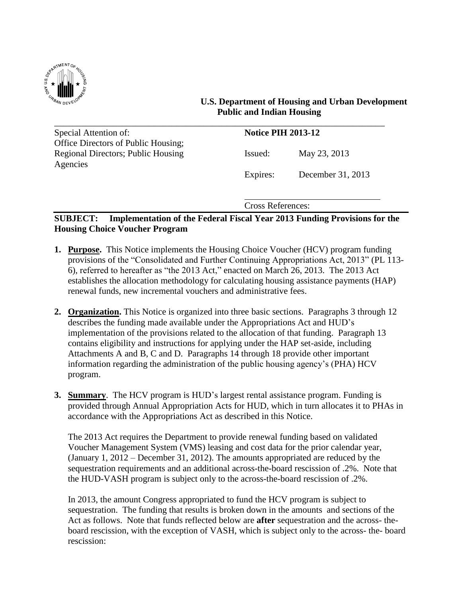

 **U.S. Department of Housing and Urban Development Public and Indian Housing**

| Special Attention of:               | <b>Notice PIH 2013-12</b> |                   |
|-------------------------------------|---------------------------|-------------------|
| Office Directors of Public Housing; |                           |                   |
| Regional Directors; Public Housing  | Issued:                   | May 23, 2013      |
| Agencies                            |                           |                   |
|                                     | Expires:                  | December 31, 2013 |
|                                     |                           |                   |

Cross References:

# **SUBJECT: Implementation of the Federal Fiscal Year 2013 Funding Provisions for the Housing Choice Voucher Program**

- **1. Purpose.** This Notice implements the Housing Choice Voucher (HCV) program funding provisions of the "Consolidated and Further Continuing Appropriations Act, 2013" (PL 113- 6), referred to hereafter as "the 2013 Act," enacted on March 26, 2013. The 2013 Act establishes the allocation methodology for calculating housing assistance payments (HAP) renewal funds, new incremental vouchers and administrative fees.
- **2. Organization.** This Notice is organized into three basic sections. Paragraphs 3 through 12 describes the funding made available under the Appropriations Act and HUD's implementation of the provisions related to the allocation of that funding. Paragraph 13 contains eligibility and instructions for applying under the HAP set-aside, including Attachments A and B, C and D. Paragraphs 14 through 18 provide other important information regarding the administration of the public housing agency's (PHA) HCV program.
- **3. Summary**. The HCV program is HUD's largest rental assistance program. Funding is provided through Annual Appropriation Acts for HUD, which in turn allocates it to PHAs in accordance with the Appropriations Act as described in this Notice.

The 2013 Act requires the Department to provide renewal funding based on validated Voucher Management System (VMS) leasing and cost data for the prior calendar year, (January 1, 2012 – December 31, 2012). The amounts appropriated are reduced by the sequestration requirements and an additional across-the-board rescission of .2%. Note that the HUD-VASH program is subject only to the across-the-board rescission of .2%.

In 2013, the amount Congress appropriated to fund the HCV program is subject to sequestration. The funding that results is broken down in the amounts and sections of the Act as follows. Note that funds reflected below are **after** sequestration and the across- theboard rescission, with the exception of VASH, which is subject only to the across- the- board rescission: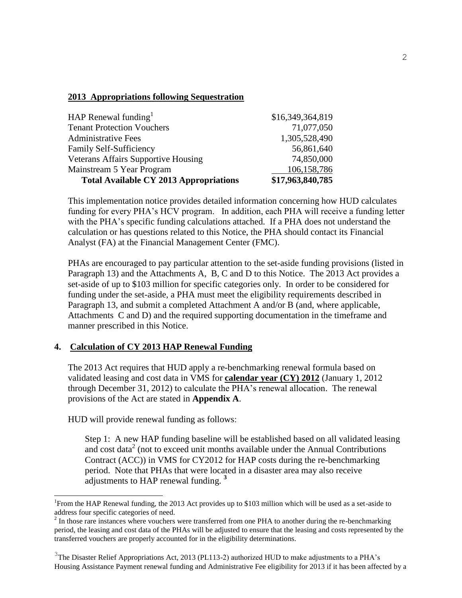## **2013 Appropriations following Sequestration**

| HAP Renewal funding $1$                       | \$16,349,364,819 |
|-----------------------------------------------|------------------|
| <b>Tenant Protection Vouchers</b>             | 71,077,050       |
| <b>Administrative Fees</b>                    | 1,305,528,490    |
| Family Self-Sufficiency                       | 56,861,640       |
| <b>Veterans Affairs Supportive Housing</b>    | 74,850,000       |
| Mainstream 5 Year Program                     | 106,158,786      |
| <b>Total Available CY 2013 Appropriations</b> | \$17,963,840,785 |

This implementation notice provides detailed information concerning how HUD calculates funding for every PHA's HCV program. In addition, each PHA will receive a funding letter with the PHA's specific funding calculations attached. If a PHA does not understand the calculation or has questions related to this Notice, the PHA should contact its Financial Analyst (FA) at the Financial Management Center (FMC).

PHAs are encouraged to pay particular attention to the set-aside funding provisions (listed in Paragraph 13) and the Attachments A, B, C and D to this Notice. The 2013 Act provides a set-aside of up to \$103 million for specific categories only. In order to be considered for funding under the set-aside, a PHA must meet the eligibility requirements described in Paragraph 13, and submit a completed Attachment A and/or B (and, where applicable, Attachments C and D) and the required supporting documentation in the timeframe and manner prescribed in this Notice.

## **4. Calculation of CY 2013 HAP Renewal Funding**

The 2013 Act requires that HUD apply a re-benchmarking renewal formula based on validated leasing and cost data in VMS for **calendar year (CY) 2012** (January 1, 2012 through December 31, 2012) to calculate the PHA's renewal allocation. The renewal provisions of the Act are stated in **Appendix A**.

HUD will provide renewal funding as follows:

 $\overline{a}$ 

Step 1: A new HAP funding baseline will be established based on all validated leasing and cost data<sup>2</sup> (not to exceed unit months available under the Annual Contributions Contract (ACC)) in VMS for CY2012 for HAP costs during the re-benchmarking period. Note that PHAs that were located in a disaster area may also receive adjustments to HAP renewal funding. **<sup>3</sup>**

<sup>&</sup>lt;sup>1</sup>From the HAP Renewal funding, the 2013 Act provides up to \$103 million which will be used as a set-aside to address four specific categories of need.

 $2<sup>2</sup>$  In those rare instances where vouchers were transferred from one PHA to another during the re-benchmarking period, the leasing and cost data of the PHAs will be adjusted to ensure that the leasing and costs represented by the transferred vouchers are properly accounted for in the eligibility determinations.

<sup>&</sup>lt;sup>3</sup>The Disaster Relief Appropriations Act, 2013 (PL113-2) authorized HUD to make adjustments to a PHA's Housing Assistance Payment renewal funding and Administrative Fee eligibility for 2013 if it has been affected by a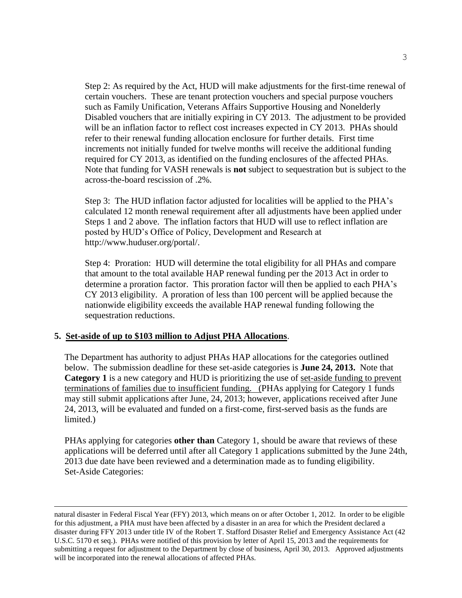Step 2: As required by the Act, HUD will make adjustments for the first-time renewal of certain vouchers. These are tenant protection vouchers and special purpose vouchers such as Family Unification, Veterans Affairs Supportive Housing and Nonelderly Disabled vouchers that are initially expiring in CY 2013. The adjustment to be provided will be an inflation factor to reflect cost increases expected in CY 2013. PHAs should refer to their renewal funding allocation enclosure for further details. First time increments not initially funded for twelve months will receive the additional funding required for CY 2013, as identified on the funding enclosures of the affected PHAs. Note that funding for VASH renewals is **not** subject to sequestration but is subject to the across-the-board rescission of .2%.

Step 3: The HUD inflation factor adjusted for localities will be applied to the PHA's calculated 12 month renewal requirement after all adjustments have been applied under Steps 1 and 2 above. The inflation factors that HUD will use to reflect inflation are posted by HUD's Office of Policy, Development and Research at http://www.huduser.org/portal/.

 Step 4: Proration: HUD will determine the total eligibility for all PHAs and compare that amount to the total available HAP renewal funding per the 2013 Act in order to determine a proration factor. This proration factor will then be applied to each PHA's CY 2013 eligibility. A proration of less than 100 percent will be applied because the nationwide eligibility exceeds the available HAP renewal funding following the sequestration reductions.

## **5. Set-aside of up to \$103 million to Adjust PHA Allocations**.

 $\overline{\phantom{a}}$ 

The Department has authority to adjust PHAs HAP allocations for the categories outlined below. The submission deadline for these set-aside categories is **June 24, 2013.** Note that **Category 1** is a new category and HUD is prioritizing the use of set-aside funding to prevent terminations of families due to insufficient funding. (PHAs applying for Category 1 funds may still submit applications after June, 24, 2013; however, applications received after June 24, 2013, will be evaluated and funded on a first-come, first-served basis as the funds are limited.)

PHAs applying for categories **other than** Category 1, should be aware that reviews of these applications will be deferred until after all Category 1 applications submitted by the June 24th, 2013 due date have been reviewed and a determination made as to funding eligibility. Set-Aside Categories:

natural disaster in Federal Fiscal Year (FFY) 2013, which means on or after October 1, 2012. In order to be eligible for this adjustment, a PHA must have been affected by a disaster in an area for which the President declared a disaster during FFY 2013 under title IV of the Robert T. Stafford Disaster Relief and Emergency Assistance Act (42 U.S.C. 5170 et seq.). PHAs were notified of this provision by letter of April 15, 2013 and the requirements for submitting a request for adjustment to the Department by close of business, April 30, 2013. Approved adjustments will be incorporated into the renewal allocations of affected PHAs.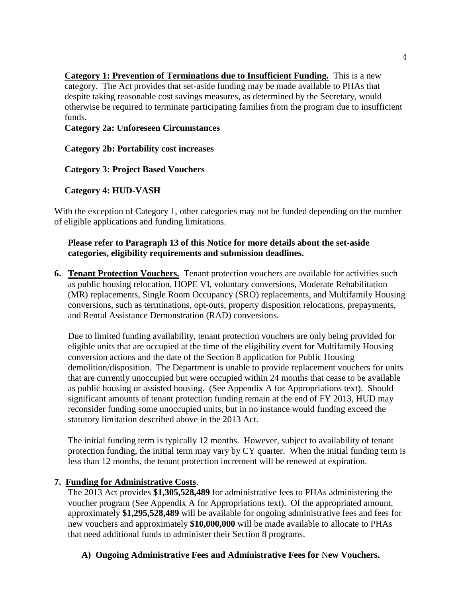**Category 1: Prevention of Terminations due to Insufficient Funding.** This is a new category. The Act provides that set-aside funding may be made available to PHAs that despite taking reasonable cost savings measures, as determined by the Secretary, would otherwise be required to terminate participating families from the program due to insufficient funds.

**Category 2a: Unforeseen Circumstances**

# **Category 2b: Portability cost increases**

# **Category 3: Project Based Vouchers**

# **Category 4: HUD-VASH**

With the exception of Category 1, other categories may not be funded depending on the number of eligible applications and funding limitations.

## **Please refer to Paragraph 13 of this Notice for more details about the set-aside categories, eligibility requirements and submission deadlines.**

**6. Tenant Protection Vouchers.** Tenant protection vouchers are available for activities such as public housing relocation, HOPE VI, voluntary conversions, Moderate Rehabilitation (MR) replacements, Single Room Occupancy (SRO) replacements, and Multifamily Housing conversions, such as terminations, opt-outs, property disposition relocations, prepayments, and Rental Assistance Demonstration (RAD) conversions.

Due to limited funding availability, tenant protection vouchers are only being provided for eligible units that are occupied at the time of the eligibility event for Multifamily Housing conversion actions and the date of the Section 8 application for Public Housing demolition/disposition. The Department is unable to provide replacement vouchers for units that are currently unoccupied but were occupied within 24 months that cease to be available as public housing or assisted housing. (See Appendix A for Appropriations text). Should significant amounts of tenant protection funding remain at the end of FY 2013, HUD may reconsider funding some unoccupied units, but in no instance would funding exceed the statutory limitation described above in the 2013 Act.

The initial funding term is typically 12 months. However, subject to availability of tenant protection funding, the initial term may vary by CY quarter. When the initial funding term is less than 12 months, the tenant protection increment will be renewed at expiration.

# **7. Funding for Administrative Costs**.

The 2013 Act provides **\$1,305,528,489** for administrative fees to PHAs administering the voucher program (See Appendix A for Appropriations text). Of the appropriated amount, approximately **\$1,295,528,489** will be available for ongoing administrative fees and fees for new vouchers and approximately **\$10,000,000** will be made available to allocate to PHAs that need additional funds to administer their Section 8 programs.

# **A) Ongoing Administrative Fees and Administrative Fees for** N**ew Vouchers.**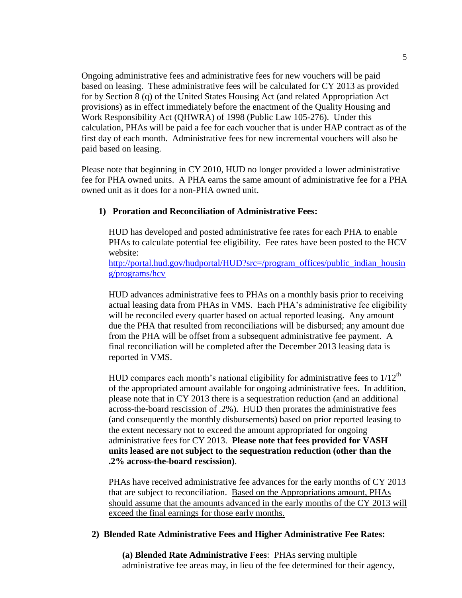Ongoing administrative fees and administrative fees for new vouchers will be paid based on leasing. These administrative fees will be calculated for CY 2013 as provided for by Section 8 (q) of the United States Housing Act (and related Appropriation Act provisions) as in effect immediately before the enactment of the Quality Housing and Work Responsibility Act (QHWRA) of 1998 (Public Law 105-276). Under this calculation, PHAs will be paid a fee for each voucher that is under HAP contract as of the first day of each month. Administrative fees for new incremental vouchers will also be paid based on leasing.

Please note that beginning in CY 2010, HUD no longer provided a lower administrative fee for PHA owned units. A PHA earns the same amount of administrative fee for a PHA owned unit as it does for a non-PHA owned unit.

#### **1) Proration and Reconciliation of Administrative Fees:**

HUD has developed and posted administrative fee rates for each PHA to enable PHAs to calculate potential fee eligibility. Fee rates have been posted to the HCV website:

[http://portal.hud.gov/hudportal/HUD?src=/program\\_offices/public\\_indian\\_housin](http://portal.hud.gov/hudportal/HUD?src=/program_offices/public_indian_housing/programs/hcv) [g/programs/hcv](http://portal.hud.gov/hudportal/HUD?src=/program_offices/public_indian_housing/programs/hcv)

HUD advances administrative fees to PHAs on a monthly basis prior to receiving actual leasing data from PHAs in VMS. Each PHA's administrative fee eligibility will be reconciled every quarter based on actual reported leasing. Any amount due the PHA that resulted from reconciliations will be disbursed; any amount due from the PHA will be offset from a subsequent administrative fee payment. A final reconciliation will be completed after the December 2013 leasing data is reported in VMS.

HUD compares each month's national eligibility for administrative fees to  $1/12<sup>th</sup>$ of the appropriated amount available for ongoing administrative fees. In addition, please note that in CY 2013 there is a sequestration reduction (and an additional across-the-board rescission of .2%). HUD then prorates the administrative fees (and consequently the monthly disbursements) based on prior reported leasing to the extent necessary not to exceed the amount appropriated for ongoing administrative fees for CY 2013. **Please note that fees provided for VASH units leased are not subject to the sequestration reduction (other than the .2% across-the-board rescission)**.

PHAs have received administrative fee advances for the early months of CY 2013 that are subject to reconciliation. Based on the Appropriations amount, PHAs should assume that the amounts advanced in the early months of the CY 2013 will exceed the final earnings for those early months.

#### **2) Blended Rate Administrative Fees and Higher Administrative Fee Rates:**

**(a) Blended Rate Administrative Fees**: PHAs serving multiple administrative fee areas may, in lieu of the fee determined for their agency,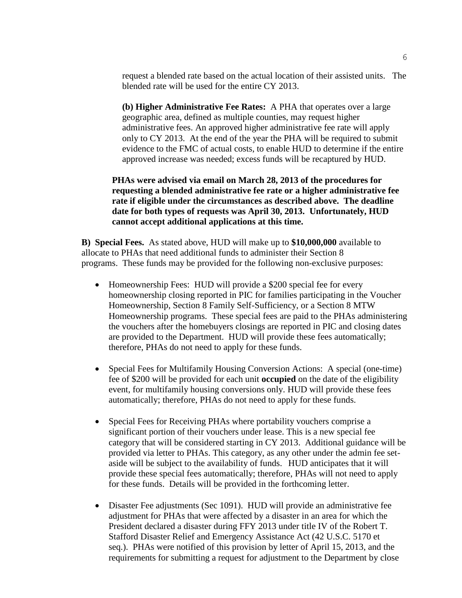request a blended rate based on the actual location of their assisted units. The blended rate will be used for the entire CY 2013.

**(b) Higher Administrative Fee Rates:** A PHA that operates over a large geographic area, defined as multiple counties, may request higher administrative fees. An approved higher administrative fee rate will apply only to CY 2013. At the end of the year the PHA will be required to submit evidence to the FMC of actual costs, to enable HUD to determine if the entire approved increase was needed; excess funds will be recaptured by HUD.

**PHAs were advised via email on March 28, 2013 of the procedures for requesting a blended administrative fee rate or a higher administrative fee rate if eligible under the circumstances as described above. The deadline date for both types of requests was April 30, 2013. Unfortunately, HUD cannot accept additional applications at this time.**

**B) Special Fees.** As stated above, HUD will make up to **\$10,000,000** available to allocate to PHAs that need additional funds to administer their Section 8 programs. These funds may be provided for the following non-exclusive purposes:

- Homeownership Fees: HUD will provide a \$200 special fee for every homeownership closing reported in PIC for families participating in the Voucher Homeownership, Section 8 Family Self-Sufficiency, or a Section 8 MTW Homeownership programs. These special fees are paid to the PHAs administering the vouchers after the homebuyers closings are reported in PIC and closing dates are provided to the Department. HUD will provide these fees automatically; therefore, PHAs do not need to apply for these funds.
- Special Fees for Multifamily Housing Conversion Actions: A special (one-time) fee of \$200 will be provided for each unit **occupied** on the date of the eligibility event, for multifamily housing conversions only. HUD will provide these fees automatically; therefore, PHAs do not need to apply for these funds.
- Special Fees for Receiving PHAs where portability vouchers comprise a significant portion of their vouchers under lease. This is a new special fee category that will be considered starting in CY 2013. Additional guidance will be provided via letter to PHAs. This category, as any other under the admin fee setaside will be subject to the availability of funds. HUD anticipates that it will provide these special fees automatically; therefore, PHAs will not need to apply for these funds. Details will be provided in the forthcoming letter.
- Disaster Fee adjustments (Sec 1091). HUD will provide an administrative fee adjustment for PHAs that were affected by a disaster in an area for which the President declared a disaster during FFY 2013 under title IV of the Robert T. Stafford Disaster Relief and Emergency Assistance Act (42 U.S.C. 5170 et seq.). PHAs were notified of this provision by letter of April 15, 2013, and the requirements for submitting a request for adjustment to the Department by close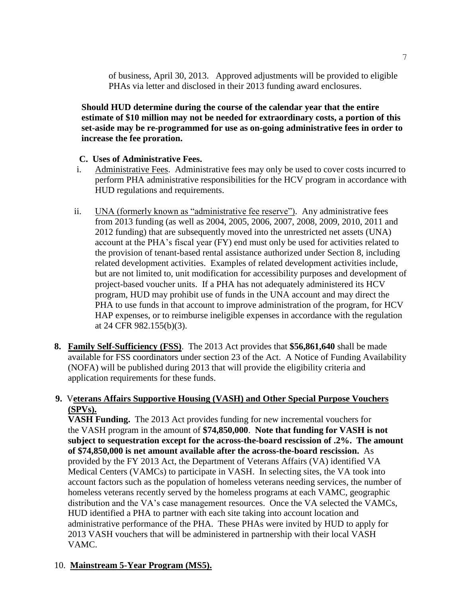of business, April 30, 2013. Approved adjustments will be provided to eligible PHAs via letter and disclosed in their 2013 funding award enclosures.

**Should HUD determine during the course of the calendar year that the entire estimate of \$10 million may not be needed for extraordinary costs, a portion of this set-aside may be re-programmed for use as on-going administrative fees in order to increase the fee proration.**

## **C. Uses of Administrative Fees.**

- i. Administrative Fees. Administrative fees may only be used to cover costs incurred to perform PHA administrative responsibilities for the HCV program in accordance with HUD regulations and requirements.
- ii. UNA (formerly known as "administrative fee reserve"). Any administrative fees from 2013 funding (as well as 2004, 2005, 2006, 2007, 2008, 2009, 2010, 2011 and 2012 funding) that are subsequently moved into the unrestricted net assets (UNA) account at the PHA's fiscal year (FY) end must only be used for activities related to the provision of tenant-based rental assistance authorized under Section 8, including related development activities. Examples of related development activities include, but are not limited to, unit modification for accessibility purposes and development of project-based voucher units. If a PHA has not adequately administered its HCV program, HUD may prohibit use of funds in the UNA account and may direct the PHA to use funds in that account to improve administration of the program, for HCV HAP expenses, or to reimburse ineligible expenses in accordance with the regulation at 24 CFR 982.155(b)(3).
- **8. Family Self-Sufficiency (FSS)**. The 2013 Act provides that **\$56,861,640** shall be made available for FSS coordinators under section 23 of the Act. A Notice of Funding Availability (NOFA) will be published during 2013 that will provide the eligibility criteria and application requirements for these funds.

# **9.** V**eterans Affairs Supportive Housing (VASH) and Other Special Purpose Vouchers (SPVs).**

**VASH Funding.** The 2013 Act provides funding for new incremental vouchers for the VASH program in the amount of **\$74,850,000**. **Note that funding for VASH is not subject to sequestration except for the across-the-board rescission of .2%. The amount of \$74,850,000 is net amount available after the across-the-board rescission.** As provided by the FY 2013 Act, the Department of Veterans Affairs (VA) identified VA Medical Centers (VAMCs) to participate in VASH. In selecting sites, the VA took into account factors such as the population of homeless veterans needing services, the number of homeless veterans recently served by the homeless programs at each VAMC, geographic distribution and the VA's case management resources. Once the VA selected the VAMCs, HUD identified a PHA to partner with each site taking into account location and administrative performance of the PHA. These PHAs were invited by HUD to apply for 2013 VASH vouchers that will be administered in partnership with their local VASH VAMC.

# 10. **Mainstream 5-Year Program (MS5).**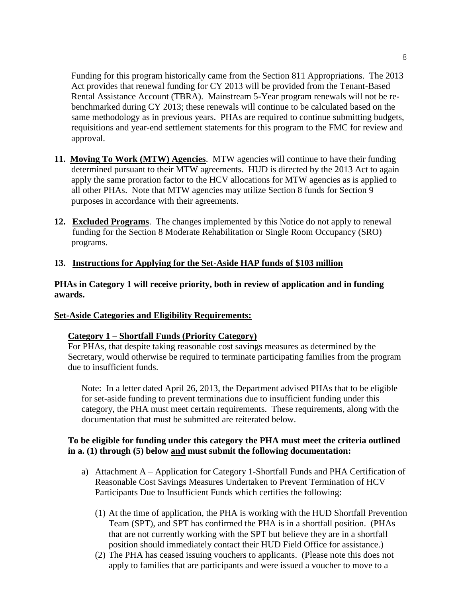Funding for this program historically came from the Section 811 Appropriations. The 2013 Act provides that renewal funding for CY 2013 will be provided from the Tenant-Based Rental Assistance Account (TBRA). Mainstream 5-Year program renewals will not be rebenchmarked during CY 2013; these renewals will continue to be calculated based on the same methodology as in previous years. PHAs are required to continue submitting budgets, requisitions and year-end settlement statements for this program to the FMC for review and approval.

- **11. Moving To Work (MTW) Agencies**. MTW agencies will continue to have their funding determined pursuant to their MTW agreements. HUD is directed by the 2013 Act to again apply the same proration factor to the HCV allocations for MTW agencies as is applied to all other PHAs. Note that MTW agencies may utilize Section 8 funds for Section 9 purposes in accordance with their agreements.
- **12. Excluded Programs**. The changes implemented by this Notice do not apply to renewal funding for the Section 8 Moderate Rehabilitation or Single Room Occupancy (SRO) programs.

# **13. Instructions for Applying for the Set-Aside HAP funds of \$103 million**

## **PHAs in Category 1 will receive priority, both in review of application and in funding awards.**

# **Set-Aside Categories and Eligibility Requirements:**

# **Category 1 – Shortfall Funds (Priority Category)**

For PHAs, that despite taking reasonable cost savings measures as determined by the Secretary, would otherwise be required to terminate participating families from the program due to insufficient funds.

Note: In a letter dated April 26, 2013, the Department advised PHAs that to be eligible for set-aside funding to prevent terminations due to insufficient funding under this category, the PHA must meet certain requirements. These requirements, along with the documentation that must be submitted are reiterated below.

## **To be eligible for funding under this category the PHA must meet the criteria outlined in a. (1) through (5) below and must submit the following documentation:**

- a) Attachment A Application for Category 1-Shortfall Funds and PHA Certification of Reasonable Cost Savings Measures Undertaken to Prevent Termination of HCV Participants Due to Insufficient Funds which certifies the following:
	- (1) At the time of application, the PHA is working with the HUD Shortfall Prevention Team (SPT), and SPT has confirmed the PHA is in a shortfall position. (PHAs that are not currently working with the SPT but believe they are in a shortfall position should immediately contact their HUD Field Office for assistance.)
	- (2) The PHA has ceased issuing vouchers to applicants. (Please note this does not apply to families that are participants and were issued a voucher to move to a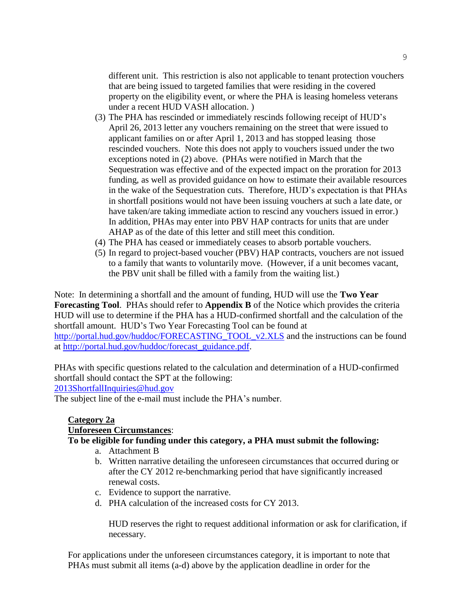different unit. This restriction is also not applicable to tenant protection vouchers that are being issued to targeted families that were residing in the covered property on the eligibility event, or where the PHA is leasing homeless veterans under a recent HUD VASH allocation. )

- (3) The PHA has rescinded or immediately rescinds following receipt of HUD's April 26, 2013 letter any vouchers remaining on the street that were issued to applicant families on or after April 1, 2013 and has stopped leasing those rescinded vouchers. Note this does not apply to vouchers issued under the two exceptions noted in (2) above. (PHAs were notified in March that the Sequestration was effective and of the expected impact on the proration for 2013 funding, as well as provided guidance on how to estimate their available resources in the wake of the Sequestration cuts. Therefore, HUD's expectation is that PHAs in shortfall positions would not have been issuing vouchers at such a late date, or have taken/are taking immediate action to rescind any vouchers issued in error.) In addition, PHAs may enter into PBV HAP contracts for units that are under AHAP as of the date of this letter and still meet this condition.
- (4) The PHA has ceased or immediately ceases to absorb portable vouchers.
- (5) In regard to project-based voucher (PBV) HAP contracts, vouchers are not issued to a family that wants to voluntarily move. (However, if a unit becomes vacant, the PBV unit shall be filled with a family from the waiting list.)

Note: In determining a shortfall and the amount of funding, HUD will use the **Two Year Forecasting Tool**. PHAs should refer to **Appendix B** of the Notice which provides the criteria HUD will use to determine if the PHA has a HUD-confirmed shortfall and the calculation of the shortfall amount. HUD's Two Year Forecasting Tool can be found at [http://portal.hud.gov/huddoc/FORECASTING\\_TOOL\\_v2.XLS](http://portal.hud.gov/huddoc/FORECASTING_TOOL_v2.XLS) and the instructions can be found at [http://portal.hud.gov/huddoc/forecast\\_guidance.pdf.](http://portal.hud.gov/huddoc/forecast_guidance.pdf)

PHAs with specific questions related to the calculation and determination of a HUD-confirmed shortfall should contact the SPT at the following: [2013ShortfallInquiries@hud.gov](mailto:2013ShortfallInquiries@hud.gov)

The subject line of the e-mail must include the PHA's number.

#### **Category 2a**

#### **Unforeseen Circumstances**:

### **To be eligible for funding under this category, a PHA must submit the following:**

- a. Attachment B
- b. Written narrative detailing the unforeseen circumstances that occurred during or after the CY 2012 re-benchmarking period that have significantly increased renewal costs.
- c. Evidence to support the narrative.
- d. PHA calculation of the increased costs for CY 2013.

HUD reserves the right to request additional information or ask for clarification, if necessary.

For applications under the unforeseen circumstances category, it is important to note that PHAs must submit all items (a-d) above by the application deadline in order for the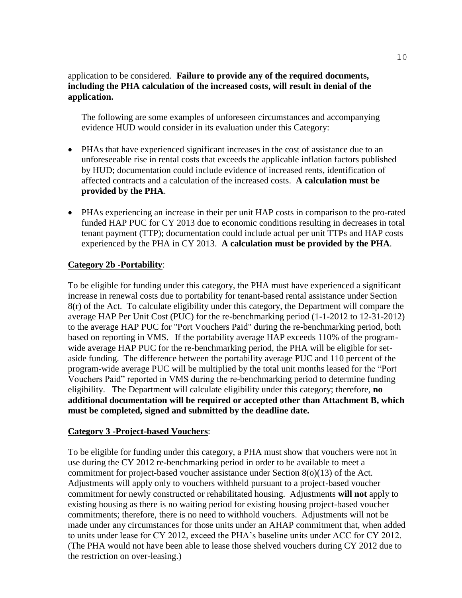## application to be considered. **Failure to provide any of the required documents, including the PHA calculation of the increased costs, will result in denial of the application.**

The following are some examples of unforeseen circumstances and accompanying evidence HUD would consider in its evaluation under this Category:

- PHAs that have experienced significant increases in the cost of assistance due to an unforeseeable rise in rental costs that exceeds the applicable inflation factors published by HUD; documentation could include evidence of increased rents, identification of affected contracts and a calculation of the increased costs. **A calculation must be provided by the PHA**.
- PHAs experiencing an increase in their per unit HAP costs in comparison to the pro-rated funded HAP PUC for CY 2013 due to economic conditions resulting in decreases in total tenant payment (TTP); documentation could include actual per unit TTPs and HAP costs experienced by the PHA in CY 2013. **A calculation must be provided by the PHA**.

## **Category 2b -Portability**:

To be eligible for funding under this category, the PHA must have experienced a significant increase in renewal costs due to portability for tenant-based rental assistance under Section 8(r) of the Act. To calculate eligibility under this category, the Department will compare the average HAP Per Unit Cost (PUC) for the re-benchmarking period (1-1-2012 to 12-31-2012) to the average HAP PUC for "Port Vouchers Paid" during the re-benchmarking period, both based on reporting in VMS. If the portability average HAP exceeds 110% of the programwide average HAP PUC for the re-benchmarking period, the PHA will be eligible for setaside funding. The difference between the portability average PUC and 110 percent of the program-wide average PUC will be multiplied by the total unit months leased for the "Port Vouchers Paid" reported in VMS during the re-benchmarking period to determine funding eligibility. The Department will calculate eligibility under this category; therefore, **no additional documentation will be required or accepted other than Attachment B, which must be completed, signed and submitted by the deadline date.**

## **Category 3 -Project-based Vouchers**:

To be eligible for funding under this category, a PHA must show that vouchers were not in use during the CY 2012 re-benchmarking period in order to be available to meet a commitment for project-based voucher assistance under Section 8(o)(13) of the Act. Adjustments will apply only to vouchers withheld pursuant to a project-based voucher commitment for newly constructed or rehabilitated housing. Adjustments **will not** apply to existing housing as there is no waiting period for existing housing project-based voucher commitments; therefore, there is no need to withhold vouchers. Adjustments will not be made under any circumstances for those units under an AHAP commitment that, when added to units under lease for CY 2012, exceed the PHA's baseline units under ACC for CY 2012. (The PHA would not have been able to lease those shelved vouchers during CY 2012 due to the restriction on over-leasing.)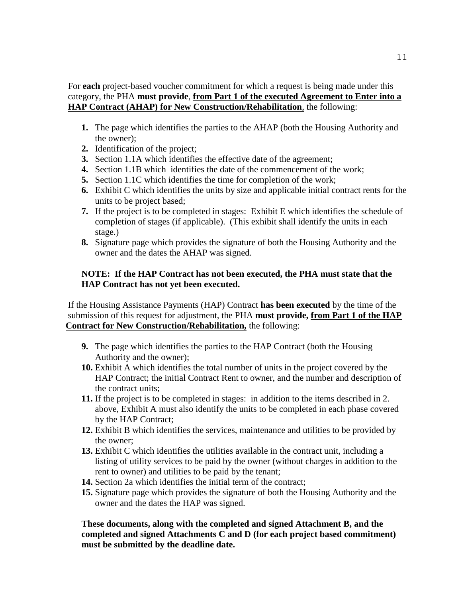For **each** project-based voucher commitment for which a request is being made under this category, the PHA **must provide**, **from Part 1 of the executed Agreement to Enter into a HAP Contract (AHAP) for New Construction/Rehabilitation**, the following:

- **1.** The page which identifies the parties to the AHAP (both the Housing Authority and the owner);
- **2.** Identification of the project;
- **3.** Section 1.1A which identifies the effective date of the agreement;
- **4.** Section 1.1B which identifies the date of the commencement of the work;
- **5.** Section 1.1C which identifies the time for completion of the work;
- **6.** Exhibit C which identifies the units by size and applicable initial contract rents for the units to be project based;
- **7.** If the project is to be completed in stages: Exhibit E which identifies the schedule of completion of stages (if applicable). (This exhibit shall identify the units in each stage.)
- **8.** Signature page which provides the signature of both the Housing Authority and the owner and the dates the AHAP was signed.

## **NOTE: If the HAP Contract has not been executed, the PHA must state that the HAP Contract has not yet been executed.**

 If the Housing Assistance Payments (HAP) Contract **has been executed** by the time of the submission of this request for adjustment, the PHA **must provide, from Part 1 of the HAP Contract for New Construction/Rehabilitation,** the following:

- **9.** The page which identifies the parties to the HAP Contract (both the Housing Authority and the owner);
- **10.** Exhibit A which identifies the total number of units in the project covered by the HAP Contract; the initial Contract Rent to owner, and the number and description of the contract units;
- **11.** If the project is to be completed in stages: in addition to the items described in 2. above, Exhibit A must also identify the units to be completed in each phase covered by the HAP Contract;
- **12.** Exhibit B which identifies the services, maintenance and utilities to be provided by the owner;
- **13.** Exhibit C which identifies the utilities available in the contract unit, including a listing of utility services to be paid by the owner (without charges in addition to the rent to owner) and utilities to be paid by the tenant;
- **14.** Section 2a which identifies the initial term of the contract;
- **15.** Signature page which provides the signature of both the Housing Authority and the owner and the dates the HAP was signed.

## **These documents, along with the completed and signed Attachment B, and the completed and signed Attachments C and D (for each project based commitment) must be submitted by the deadline date.**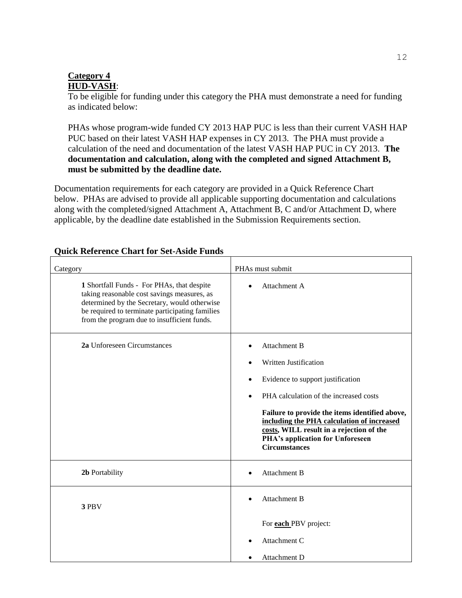## **Category 4 HUD-VASH**:

To be eligible for funding under this category the PHA must demonstrate a need for funding as indicated below:

PHAs whose program-wide funded CY 2013 HAP PUC is less than their current VASH HAP PUC based on their latest VASH HAP expenses in CY 2013. The PHA must provide a calculation of the need and documentation of the latest VASH HAP PUC in CY 2013. **The documentation and calculation, along with the completed and signed Attachment B, must be submitted by the deadline date.**

Documentation requirements for each category are provided in a Quick Reference Chart below. PHAs are advised to provide all applicable supporting documentation and calculations along with the completed/signed Attachment A, Attachment B, C and/or Attachment D, where applicable, by the deadline date established in the Submission Requirements section.

| Category                                                                                                                                                                                                                                    | PHAs must submit                                                                                                                                                                                                                                                                                                                                                                  |
|---------------------------------------------------------------------------------------------------------------------------------------------------------------------------------------------------------------------------------------------|-----------------------------------------------------------------------------------------------------------------------------------------------------------------------------------------------------------------------------------------------------------------------------------------------------------------------------------------------------------------------------------|
| 1 Shortfall Funds - For PHAs, that despite<br>taking reasonable cost savings measures, as<br>determined by the Secretary, would otherwise<br>be required to terminate participating families<br>from the program due to insufficient funds. | Attachment A                                                                                                                                                                                                                                                                                                                                                                      |
| 2a Unforeseen Circumstances                                                                                                                                                                                                                 | <b>Attachment B</b><br>$\bullet$<br>Written Justification<br>Evidence to support justification<br>$\bullet$<br>PHA calculation of the increased costs<br>$\bullet$<br>Failure to provide the items identified above,<br>including the PHA calculation of increased<br>costs, WILL result in a rejection of the<br><b>PHA's application for Unforeseen</b><br><b>Circumstances</b> |
| 2b Portability                                                                                                                                                                                                                              | <b>Attachment B</b>                                                                                                                                                                                                                                                                                                                                                               |
| 3 PBV                                                                                                                                                                                                                                       | <b>Attachment B</b><br>For <b>each PBV</b> project:<br>Attachment C                                                                                                                                                                                                                                                                                                               |
|                                                                                                                                                                                                                                             | Attachment D                                                                                                                                                                                                                                                                                                                                                                      |

## **Quick Reference Chart for Set-Aside Funds**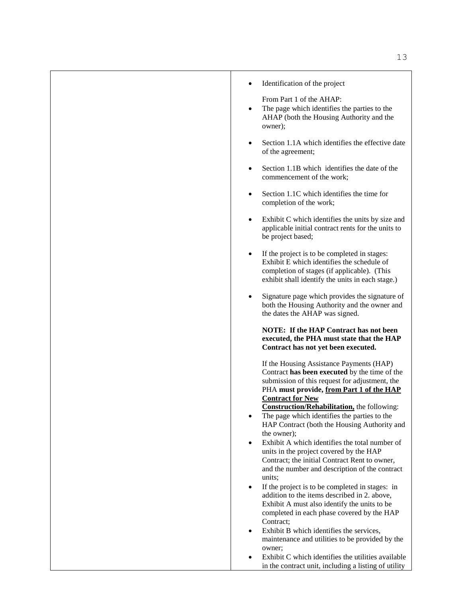|  | Identification of the project |  |  |
|--|-------------------------------|--|--|
|--|-------------------------------|--|--|

From Part 1 of the AHAP:

- The page which identifies the parties to the AHAP (both the Housing Authority and the owner);
- Section 1.1A which identifies the effective date of the agreement;
- Section 1.1B which identifies the date of the commencement of the work;
- Section 1.1C which identifies the time for completion of the work;
- Exhibit C which identifies the units by size and applicable initial contract rents for the units to be project based;
- If the project is to be completed in stages: Exhibit E which identifies the schedule of completion of stages (if applicable). (This exhibit shall identify the units in each stage.)
- Signature page which provides the signature of both the Housing Authority and the owner and the dates the AHAP was signed.

**NOTE: If the HAP Contract has not been executed, the PHA must state that the HAP Contract has not yet been executed.** 

If the Housing Assistance Payments (HAP) Contract **has been executed** by the time of the submission of this request for adjustment, the PHA **must provide, from Part 1 of the HAP Contract for New** 

**Construction/Rehabilitation,** the following:

- The page which identifies the parties to the HAP Contract (both the Housing Authority and the owner);
- Exhibit A which identifies the total number of units in the project covered by the HAP Contract; the initial Contract Rent to owner, and the number and description of the contract units;
- If the project is to be completed in stages: in addition to the items described in 2. above, Exhibit A must also identify the units to be completed in each phase covered by the HAP Contract:
- Exhibit B which identifies the services, maintenance and utilities to be provided by the owner;
- Exhibit C which identifies the utilities available in the contract unit, including a listing of utility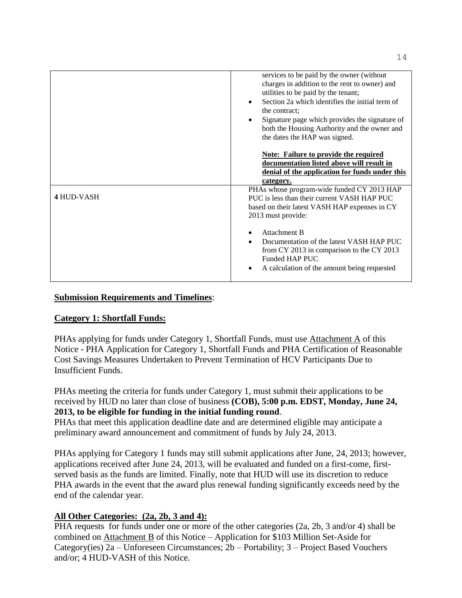|            | services to be paid by the owner (without<br>charges in addition to the rent to owner) and<br>utilities to be paid by the tenant;<br>Section 2a which identifies the initial term of<br>$\bullet$<br>the contract:<br>Signature page which provides the signature of<br>$\bullet$<br>both the Housing Authority and the owner and<br>the dates the HAP was signed. |
|------------|--------------------------------------------------------------------------------------------------------------------------------------------------------------------------------------------------------------------------------------------------------------------------------------------------------------------------------------------------------------------|
|            | <b>Note:</b> Failure to provide the required<br>documentation listed above will result in<br>denial of the application for funds under this<br>category.                                                                                                                                                                                                           |
| 4 HUD-VASH | PHAs whose program-wide funded CY 2013 HAP<br>PUC is less than their current VASH HAP PUC<br>based on their latest VASH HAP expenses in CY<br>2013 must provide:                                                                                                                                                                                                   |
|            | Attachment B<br>Documentation of the latest VASH HAP PUC<br>$\bullet$<br>from CY 2013 in comparison to the CY 2013<br>Funded HAP PUC<br>A calculation of the amount being requested                                                                                                                                                                                |

## **Submission Requirements and Timelines**:

## **Category 1: Shortfall Funds:**

PHAs applying for funds under Category 1, Shortfall Funds, must use Attachment A of this Notice - PHA Application for Category 1, Shortfall Funds and PHA Certification of Reasonable Cost Savings Measures Undertaken to Prevent Termination of HCV Participants Due to Insufficient Funds.

PHAs meeting the criteria for funds under Category 1, must submit their applications to be received by HUD no later than close of business **(COB), 5:00 p.m. EDST, Monday, June 24, 2013, to be eligible for funding in the initial funding round**.

PHAs that meet this application deadline date and are determined eligible may anticipate a preliminary award announcement and commitment of funds by July 24, 2013.

PHAs applying for Category 1 funds may still submit applications after June, 24, 2013; however, applications received after June 24, 2013, will be evaluated and funded on a first-come, firstserved basis as the funds are limited. Finally, note that HUD will use its discretion to reduce PHA awards in the event that the award plus renewal funding significantly exceeds need by the end of the calendar year.

# **All Other Categories: (2a, 2b, 3 and 4):**

PHA requests for funds under one or more of the other categories (2a, 2b, 3 and/or 4) shall be combined on Attachment B of this Notice – Application for \$103 Million Set-Aside for Category(ies) 2a – Unforeseen Circumstances; 2b – Portability; 3 – Project Based Vouchers and/or; 4 HUD-VASH of this Notice.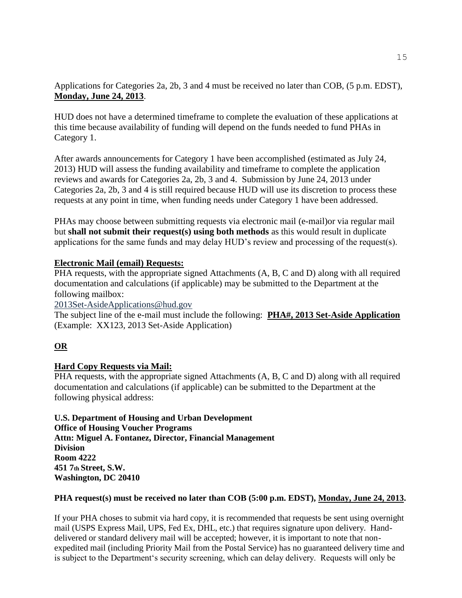Applications for Categories 2a, 2b, 3 and 4 must be received no later than COB, (5 p.m. EDST), **Monday, June 24, 2013**.

HUD does not have a determined timeframe to complete the evaluation of these applications at this time because availability of funding will depend on the funds needed to fund PHAs in Category 1.

After awards announcements for Category 1 have been accomplished (estimated as July 24, 2013) HUD will assess the funding availability and timeframe to complete the application reviews and awards for Categories 2a, 2b, 3 and 4. Submission by June 24, 2013 under Categories 2a, 2b, 3 and 4 is still required because HUD will use its discretion to process these requests at any point in time, when funding needs under Category 1 have been addressed.

PHAs may choose between submitting requests via electronic mail (e-mail)or via regular mail but **shall not submit their request(s) using both methods** as this would result in duplicate applications for the same funds and may delay HUD's review and processing of the request(s).

# **Electronic Mail (email) Requests:**

PHA requests, with the appropriate signed Attachments (A, B, C and D) along with all required documentation and calculations (if applicable) may be submitted to the Department at the following mailbox:

2013Set-Asid[eApplications@hud.gov](mailto:Applications@hud.gov)

The subject line of the e-mail must include the following: **PHA#, 2013 Set-Aside Application** (Example: XX123, 2013 Set-Aside Application)

# **OR**

# **Hard Copy Requests via Mail:**

PHA requests, with the appropriate signed Attachments (A, B, C and D) along with all required documentation and calculations (if applicable) can be submitted to the Department at the following physical address:

**U.S. Department of Housing and Urban Development Office of Housing Voucher Programs Attn: Miguel A. Fontanez, Director, Financial Management Division Room 4222 451 7th Street, S.W. Washington, DC 20410**

## **PHA request(s) must be received no later than COB (5:00 p.m. EDST), Monday, June 24, 2013.**

If your PHA choses to submit via hard copy, it is recommended that requests be sent using overnight mail (USPS Express Mail, UPS, Fed Ex, DHL, etc.) that requires signature upon delivery. Handdelivered or standard delivery mail will be accepted; however, it is important to note that nonexpedited mail (including Priority Mail from the Postal Service) has no guaranteed delivery time and is subject to the Department's security screening, which can delay delivery. Requests will only be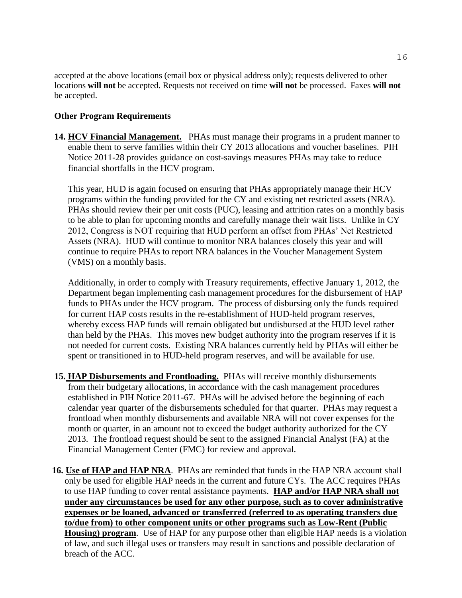accepted at the above locations (email box or physical address only); requests delivered to other locations **will not** be accepted. Requests not received on time **will not** be processed. Faxes **will not**  be accepted.

## **Other Program Requirements**

**14. HCV Financial Management.** PHAs must manage their programs in a prudent manner to enable them to serve families within their CY 2013 allocations and voucher baselines. PIH Notice 2011-28 provides guidance on cost-savings measures PHAs may take to reduce financial shortfalls in the HCV program.

This year, HUD is again focused on ensuring that PHAs appropriately manage their HCV programs within the funding provided for the CY and existing net restricted assets (NRA). PHAs should review their per unit costs (PUC), leasing and attrition rates on a monthly basis to be able to plan for upcoming months and carefully manage their wait lists. Unlike in CY 2012, Congress is NOT requiring that HUD perform an offset from PHAs' Net Restricted Assets (NRA). HUD will continue to monitor NRA balances closely this year and will continue to require PHAs to report NRA balances in the Voucher Management System (VMS) on a monthly basis.

Additionally, in order to comply with Treasury requirements, effective January 1, 2012, the Department began implementing cash management procedures for the disbursement of HAP funds to PHAs under the HCV program. The process of disbursing only the funds required for current HAP costs results in the re-establishment of HUD-held program reserves, whereby excess HAP funds will remain obligated but undisbursed at the HUD level rather than held by the PHAs. This moves new budget authority into the program reserves if it is not needed for current costs. Existing NRA balances currently held by PHAs will either be spent or transitioned in to HUD-held program reserves, and will be available for use.

- **15. HAP Disbursements and Frontloading.** PHAs will receive monthly disbursements from their budgetary allocations, in accordance with the cash management procedures established in PIH Notice 2011-67. PHAs will be advised before the beginning of each calendar year quarter of the disbursements scheduled for that quarter. PHAs may request a frontload when monthly disbursements and available NRA will not cover expenses for the month or quarter, in an amount not to exceed the budget authority authorized for the CY 2013. The frontload request should be sent to the assigned Financial Analyst (FA) at the Financial Management Center (FMC) for review and approval.
- **16. Use of HAP and HAP NRA**.PHAs are reminded that funds in the HAP NRA account shall only be used for eligible HAP needs in the current and future CYs. The ACC requires PHAs to use HAP funding to cover rental assistance payments. **HAP and/or HAP NRA shall not under any circumstances be used for any other purpose, such as to cover administrative expenses or be loaned, advanced or transferred (referred to as operating transfers due to/due from) to other component units or other programs such as Low-Rent (Public Housing) program**. Use of HAP for any purpose other than eligible HAP needs is a violation of law, and such illegal uses or transfers may result in sanctions and possible declaration of breach of the ACC.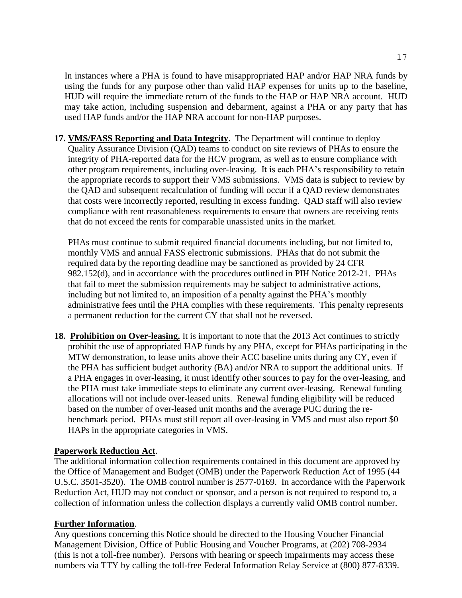In instances where a PHA is found to have misappropriated HAP and/or HAP NRA funds by using the funds for any purpose other than valid HAP expenses for units up to the baseline, HUD will require the immediate return of the funds to the HAP or HAP NRA account. HUD may take action, including suspension and debarment, against a PHA or any party that has used HAP funds and/or the HAP NRA account for non-HAP purposes.

**17. VMS/FASS Reporting and Data Integrity**. The Department will continue to deploy Quality Assurance Division (QAD) teams to conduct on site reviews of PHAs to ensure the integrity of PHA-reported data for the HCV program, as well as to ensure compliance with other program requirements, including over-leasing. It is each PHA's responsibility to retain the appropriate records to support their VMS submissions. VMS data is subject to review by the QAD and subsequent recalculation of funding will occur if a QAD review demonstrates that costs were incorrectly reported, resulting in excess funding. QAD staff will also review compliance with rent reasonableness requirements to ensure that owners are receiving rents that do not exceed the rents for comparable unassisted units in the market.

PHAs must continue to submit required financial documents including, but not limited to, monthly VMS and annual FASS electronic submissions. PHAs that do not submit the required data by the reporting deadline may be sanctioned as provided by 24 CFR 982.152(d), and in accordance with the procedures outlined in PIH Notice 2012-21. PHAs that fail to meet the submission requirements may be subject to administrative actions, including but not limited to, an imposition of a penalty against the PHA's monthly administrative fees until the PHA complies with these requirements. This penalty represents a permanent reduction for the current CY that shall not be reversed.

**18. Prohibition on Over-leasing.** It is important to note that the 2013 Act continues to strictly prohibit the use of appropriated HAP funds by any PHA, except for PHAs participating in the MTW demonstration, to lease units above their ACC baseline units during any CY, even if the PHA has sufficient budget authority (BA) and/or NRA to support the additional units. If a PHA engages in over-leasing, it must identify other sources to pay for the over-leasing, and the PHA must take immediate steps to eliminate any current over-leasing. Renewal funding allocations will not include over-leased units. Renewal funding eligibility will be reduced based on the number of over-leased unit months and the average PUC during the rebenchmark period. PHAs must still report all over-leasing in VMS and must also report \$0 HAPs in the appropriate categories in VMS.

## **Paperwork Reduction Act**.

The additional information collection requirements contained in this document are approved by the Office of Management and Budget (OMB) under the Paperwork Reduction Act of 1995 (44 U.S.C. 3501-3520). The OMB control number is 2577-0169. In accordance with the Paperwork Reduction Act, HUD may not conduct or sponsor, and a person is not required to respond to, a collection of information unless the collection displays a currently valid OMB control number.

## **Further Information**.

Any questions concerning this Notice should be directed to the Housing Voucher Financial Management Division, Office of Public Housing and Voucher Programs, at (202) 708-2934 (this is not a toll-free number). Persons with hearing or speech impairments may access these numbers via TTY by calling the toll-free Federal Information Relay Service at (800) 877-8339.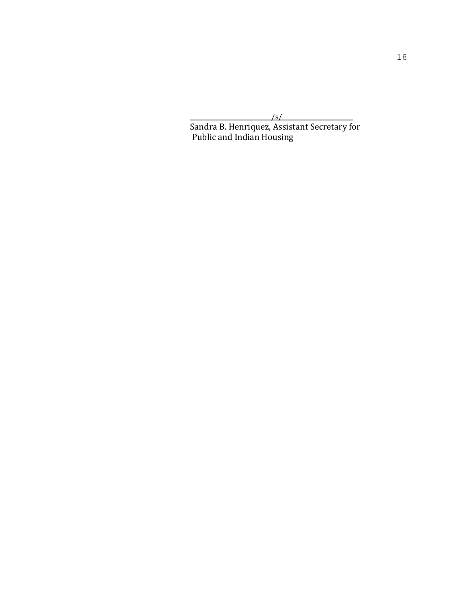$\sim$  /s/

Sandra B. Henriquez, Assistant Secretary for Public and Indian Housing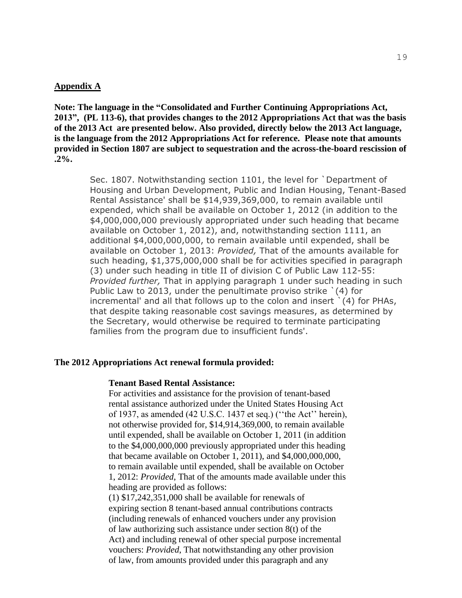#### **Appendix A**

**Note: The language in the "Consolidated and Further Continuing Appropriations Act, 2013", (PL 113-6), that provides changes to the 2012 Appropriations Act that was the basis of the 2013 Act are presented below. Also provided, directly below the 2013 Act language, is the language from the 2012 Appropriations Act for reference. Please note that amounts provided in Section 1807 are subject to sequestration and the across-the-board rescission of .2%.**

> Sec. 1807. Notwithstanding section 1101, the level for `Department of Housing and Urban Development, Public and Indian Housing, Tenant-Based Rental Assistance' shall be \$14,939,369,000, to remain available until expended, which shall be available on October 1, 2012 (in addition to the \$4,000,000,000 previously appropriated under such heading that became available on October 1, 2012), and, notwithstanding section 1111, an additional \$4,000,000,000, to remain available until expended, shall be available on October 1, 2013: *Provided,* That of the amounts available for such heading, \$1,375,000,000 shall be for activities specified in paragraph (3) under such heading in title II of division C of Public Law 112-55: *Provided further,* That in applying paragraph 1 under such heading in such Public Law to 2013, under the penultimate proviso strike `(4) for incremental' and all that follows up to the colon and insert `(4) for PHAs, that despite taking reasonable cost savings measures, as determined by the Secretary, would otherwise be required to terminate participating families from the program due to insufficient funds'.

#### **The 2012 Appropriations Act renewal formula provided:**

#### **Tenant Based Rental Assistance:**

For activities and assistance for the provision of tenant-based rental assistance authorized under the United States Housing Act of 1937, as amended (42 U.S.C. 1437 et seq.) (''the Act'' herein), not otherwise provided for, \$14,914,369,000, to remain available until expended, shall be available on October 1, 2011 (in addition to the \$4,000,000,000 previously appropriated under this heading that became available on October 1, 2011), and \$4,000,000,000, to remain available until expended, shall be available on October 1, 2012: *Provided*, That of the amounts made available under this heading are provided as follows:

(1) \$17,242,351,000 shall be available for renewals of expiring section 8 tenant-based annual contributions contracts (including renewals of enhanced vouchers under any provision of law authorizing such assistance under section 8(t) of the Act) and including renewal of other special purpose incremental vouchers: *Provided*, That notwithstanding any other provision of law, from amounts provided under this paragraph and any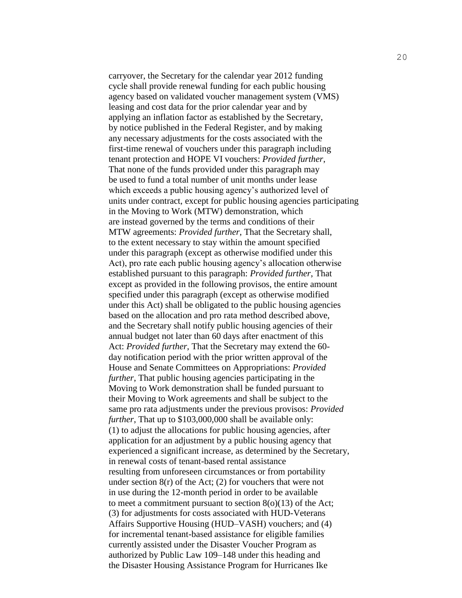carryover, the Secretary for the calendar year 2012 funding cycle shall provide renewal funding for each public housing agency based on validated voucher management system (VMS) leasing and cost data for the prior calendar year and by applying an inflation factor as established by the Secretary, by notice published in the Federal Register, and by making any necessary adjustments for the costs associated with the first-time renewal of vouchers under this paragraph including tenant protection and HOPE VI vouchers: *Provided further*, That none of the funds provided under this paragraph may be used to fund a total number of unit months under lease which exceeds a public housing agency's authorized level of units under contract, except for public housing agencies participating in the Moving to Work (MTW) demonstration, which are instead governed by the terms and conditions of their MTW agreements: *Provided further*, That the Secretary shall, to the extent necessary to stay within the amount specified under this paragraph (except as otherwise modified under this Act), pro rate each public housing agency's allocation otherwise established pursuant to this paragraph: *Provided further*, That except as provided in the following provisos, the entire amount specified under this paragraph (except as otherwise modified under this Act) shall be obligated to the public housing agencies based on the allocation and pro rata method described above, and the Secretary shall notify public housing agencies of their annual budget not later than 60 days after enactment of this Act: *Provided further*, That the Secretary may extend the 60 day notification period with the prior written approval of the House and Senate Committees on Appropriations: *Provided further*, That public housing agencies participating in the Moving to Work demonstration shall be funded pursuant to their Moving to Work agreements and shall be subject to the same pro rata adjustments under the previous provisos: *Provided further*, That up to \$103,000,000 shall be available only: (1) to adjust the allocations for public housing agencies, after application for an adjustment by a public housing agency that experienced a significant increase, as determined by the Secretary, in renewal costs of tenant-based rental assistance resulting from unforeseen circumstances or from portability under section  $8(r)$  of the Act; (2) for vouchers that were not in use during the 12-month period in order to be available to meet a commitment pursuant to section  $8(0)(13)$  of the Act; (3) for adjustments for costs associated with HUD-Veterans Affairs Supportive Housing (HUD–VASH) vouchers; and (4) for incremental tenant-based assistance for eligible families currently assisted under the Disaster Voucher Program as authorized by Public Law 109–148 under this heading and the Disaster Housing Assistance Program for Hurricanes Ike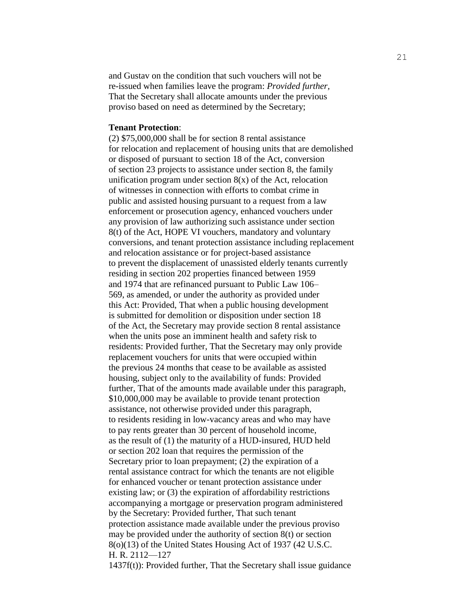and Gustav on the condition that such vouchers will not be re-issued when families leave the program: *Provided further,* That the Secretary shall allocate amounts under the previous proviso based on need as determined by the Secretary;

#### **Tenant Protection**:

(2) \$75,000,000 shall be for section 8 rental assistance for relocation and replacement of housing units that are demolished or disposed of pursuant to section 18 of the Act, conversion of section 23 projects to assistance under section 8, the family unification program under section  $8(x)$  of the Act, relocation of witnesses in connection with efforts to combat crime in public and assisted housing pursuant to a request from a law enforcement or prosecution agency, enhanced vouchers under any provision of law authorizing such assistance under section 8(t) of the Act, HOPE VI vouchers, mandatory and voluntary conversions, and tenant protection assistance including replacement and relocation assistance or for project-based assistance to prevent the displacement of unassisted elderly tenants currently residing in section 202 properties financed between 1959 and 1974 that are refinanced pursuant to Public Law 106– 569, as amended, or under the authority as provided under this Act: Provided, That when a public housing development is submitted for demolition or disposition under section 18 of the Act, the Secretary may provide section 8 rental assistance when the units pose an imminent health and safety risk to residents: Provided further, That the Secretary may only provide replacement vouchers for units that were occupied within the previous 24 months that cease to be available as assisted housing, subject only to the availability of funds: Provided further, That of the amounts made available under this paragraph, \$10,000,000 may be available to provide tenant protection assistance, not otherwise provided under this paragraph, to residents residing in low-vacancy areas and who may have to pay rents greater than 30 percent of household income, as the result of (1) the maturity of a HUD-insured, HUD held or section 202 loan that requires the permission of the Secretary prior to loan prepayment; (2) the expiration of a rental assistance contract for which the tenants are not eligible for enhanced voucher or tenant protection assistance under existing law; or (3) the expiration of affordability restrictions accompanying a mortgage or preservation program administered by the Secretary: Provided further, That such tenant protection assistance made available under the previous proviso may be provided under the authority of section 8(t) or section 8(o)(13) of the United States Housing Act of 1937 (42 U.S.C. H. R. 2112—127

1437f(t)): Provided further, That the Secretary shall issue guidance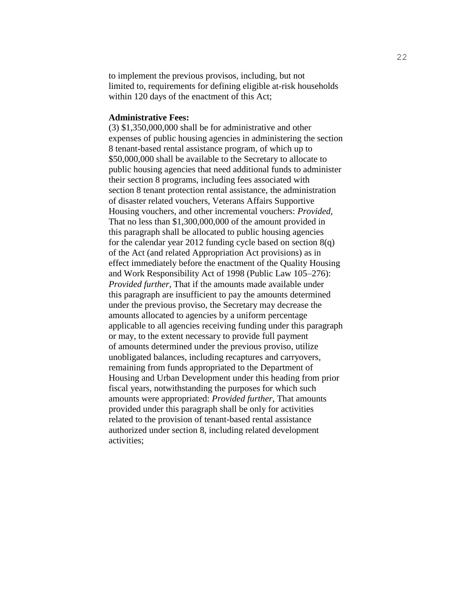to implement the previous provisos, including, but not limited to, requirements for defining eligible at-risk households within 120 days of the enactment of this Act;

#### **Administrative Fees:**

(3) \$1,350,000,000 shall be for administrative and other expenses of public housing agencies in administering the section 8 tenant-based rental assistance program, of which up to \$50,000,000 shall be available to the Secretary to allocate to public housing agencies that need additional funds to administer their section 8 programs, including fees associated with section 8 tenant protection rental assistance, the administration of disaster related vouchers, Veterans Affairs Supportive Housing vouchers, and other incremental vouchers: *Provided*, That no less than \$1,300,000,000 of the amount provided in this paragraph shall be allocated to public housing agencies for the calendar year 2012 funding cycle based on section  $8(q)$ of the Act (and related Appropriation Act provisions) as in effect immediately before the enactment of the Quality Housing and Work Responsibility Act of 1998 (Public Law 105–276): *Provided further*, That if the amounts made available under this paragraph are insufficient to pay the amounts determined under the previous proviso, the Secretary may decrease the amounts allocated to agencies by a uniform percentage applicable to all agencies receiving funding under this paragraph or may, to the extent necessary to provide full payment of amounts determined under the previous proviso, utilize unobligated balances, including recaptures and carryovers, remaining from funds appropriated to the Department of Housing and Urban Development under this heading from prior fiscal years, notwithstanding the purposes for which such amounts were appropriated: *Provided further*, That amounts provided under this paragraph shall be only for activities related to the provision of tenant-based rental assistance authorized under section 8, including related development activities;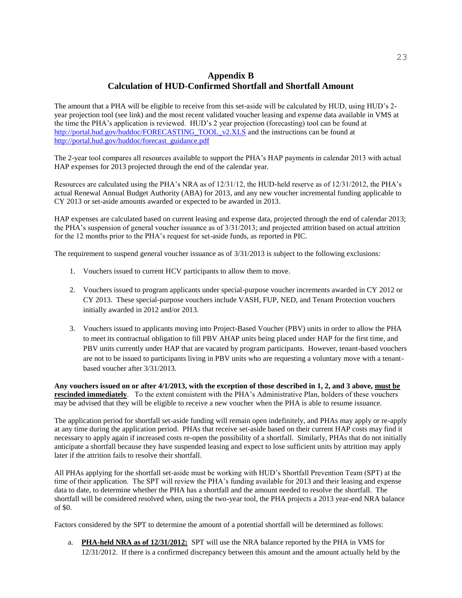# **Appendix B Calculation of HUD-Confirmed Shortfall and Shortfall Amount**

The amount that a PHA will be eligible to receive from this set-aside will be calculated by HUD, using HUD's 2 year projection tool (see link) and the most recent validated voucher leasing and expense data available in VMS at the time the PHA's application is reviewed. HUD's 2 year projection (forecasting) tool can be found at [http://portal.hud.gov/huddoc/FORECASTING\\_TOOL\\_v2.XLS](http://portal.hud.gov/huddoc/FORECASTING_TOOL_v2.XLS) and the instructions can be found at [http://portal.hud.gov/huddoc/forecast\\_guidance.pdf](http://portal.hud.gov/huddoc/forecast_guidance.pdf)

The 2-year tool compares all resources available to support the PHA's HAP payments in calendar 2013 with actual HAP expenses for 2013 projected through the end of the calendar year.

Resources are calculated using the PHA's NRA as of 12/31/12, the HUD-held reserve as of 12/31/2012, the PHA's actual Renewal Annual Budget Authority (ABA) for 2013, and any new voucher incremental funding applicable to CY 2013 or set-aside amounts awarded or expected to be awarded in 2013.

HAP expenses are calculated based on current leasing and expense data, projected through the end of calendar 2013; the PHA's suspension of general voucher issuance as of 3/31/2013; and projected attrition based on actual attrition for the 12 months prior to the PHA's request for set-aside funds, as reported in PIC.

The requirement to suspend general voucher issuance as of  $3/31/2013$  is subject to the following exclusions:

- 1. Vouchers issued to current HCV participants to allow them to move.
- 2. Vouchers issued to program applicants under special-purpose voucher increments awarded in CY 2012 or CY 2013. These special-purpose vouchers include VASH, FUP, NED, and Tenant Protection vouchers initially awarded in 2012 and/or 2013.
- 3. Vouchers issued to applicants moving into Project-Based Voucher (PBV) units in order to allow the PHA to meet its contractual obligation to fill PBV AHAP units being placed under HAP for the first time, and PBV units currently under HAP that are vacated by program participants. However, tenant-based vouchers are not to be issued to participants living in PBV units who are requesting a voluntary move with a tenantbased voucher after 3/31/2013.

**Any vouchers issued on or after 4/1/2013, with the exception of those described in 1, 2, and 3 above, must be rescinded immediately**. To the extent consistent with the PHA's Administrative Plan, holders of these vouchers may be advised that they will be eligible to receive a new voucher when the PHA is able to resume issuance.

The application period for shortfall set-aside funding will remain open indefinitely, and PHAs may apply or re-apply at any time during the application period. PHAs that receive set-aside based on their current HAP costs may find it necessary to apply again if increased costs re-open the possibility of a shortfall. Similarly, PHAs that do not initially anticipate a shortfall because they have suspended leasing and expect to lose sufficient units by attrition may apply later if the attrition fails to resolve their shortfall.

All PHAs applying for the shortfall set-aside must be working with HUD's Shortfall Prevention Team (SPT) at the time of their application. The SPT will review the PHA's funding available for 2013 and their leasing and expense data to date, to determine whether the PHA has a shortfall and the amount needed to resolve the shortfall. The shortfall will be considered resolved when, using the two-year tool, the PHA projects a 2013 year-end NRA balance of \$0.

Factors considered by the SPT to determine the amount of a potential shortfall will be determined as follows:

a. **PHA-held NRA as of 12/31/2012:** SPT will use the NRA balance reported by the PHA in VMS for 12/31/2012. If there is a confirmed discrepancy between this amount and the amount actually held by the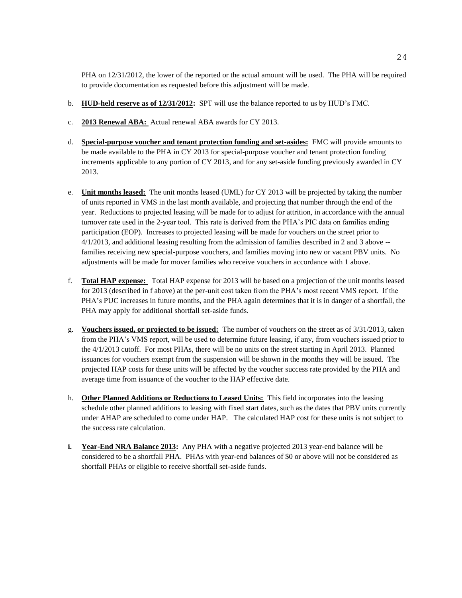PHA on 12/31/2012, the lower of the reported or the actual amount will be used. The PHA will be required to provide documentation as requested before this adjustment will be made.

- b. **HUD-held reserve as of 12/31/2012:** SPT will use the balance reported to us by HUD's FMC.
- c. **2013 Renewal ABA:** Actual renewal ABA awards for CY 2013.
- d. **Special-purpose voucher and tenant protection funding and set-asides:** FMC will provide amounts to be made available to the PHA in CY 2013 for special-purpose voucher and tenant protection funding increments applicable to any portion of CY 2013, and for any set-aside funding previously awarded in CY 2013.
- e. **Unit months leased:** The unit months leased (UML) for CY 2013 will be projected by taking the number of units reported in VMS in the last month available, and projecting that number through the end of the year. Reductions to projected leasing will be made for to adjust for attrition, in accordance with the annual turnover rate used in the 2-year tool. This rate is derived from the PHA's PIC data on families ending participation (EOP). Increases to projected leasing will be made for vouchers on the street prior to 4/1/2013, and additional leasing resulting from the admission of families described in 2 and 3 above - families receiving new special-purpose vouchers, and families moving into new or vacant PBV units. No adjustments will be made for mover families who receive vouchers in accordance with 1 above.
- f. **Total HAP expense:** Total HAP expense for 2013 will be based on a projection of the unit months leased for 2013 (described in f above) at the per-unit cost taken from the PHA's most recent VMS report. If the PHA's PUC increases in future months, and the PHA again determines that it is in danger of a shortfall, the PHA may apply for additional shortfall set-aside funds.
- g. **Vouchers issued, or projected to be issued:** The number of vouchers on the street as of 3/31/2013, taken from the PHA's VMS report, will be used to determine future leasing, if any, from vouchers issued prior to the 4/1/2013 cutoff. For most PHAs, there will be no units on the street starting in April 2013. Planned issuances for vouchers exempt from the suspension will be shown in the months they will be issued. The projected HAP costs for these units will be affected by the voucher success rate provided by the PHA and average time from issuance of the voucher to the HAP effective date.
- h. **Other Planned Additions or Reductions to Leased Units:** This field incorporates into the leasing schedule other planned additions to leasing with fixed start dates, such as the dates that PBV units currently under AHAP are scheduled to come under HAP. The calculated HAP cost for these units is not subject to the success rate calculation.
- **i. Year-End NRA Balance 2013:** Any PHA with a negative projected 2013 year-end balance will be considered to be a shortfall PHA. PHAs with year-end balances of \$0 or above will not be considered as shortfall PHAs or eligible to receive shortfall set-aside funds.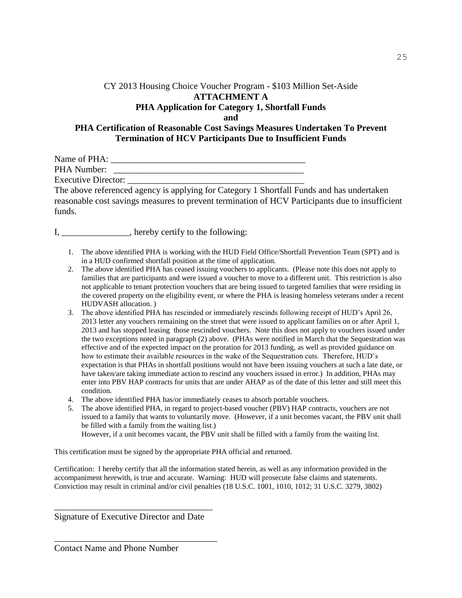## CY 2013 Housing Choice Voucher Program - \$103 Million Set-Aside **ATTACHMENT A PHA Application for Category 1, Shortfall Funds and PHA Certification of Reasonable Cost Savings Measures Undertaken To Prevent Termination of HCV Participants Due to Insufficient Funds**

Name of PHA: \_\_\_\_\_\_\_\_\_\_\_\_\_\_\_\_\_\_\_\_\_\_\_\_\_\_\_\_\_\_\_\_\_\_\_\_\_\_\_\_\_\_\_ PHA Number: \_\_\_\_\_\_\_\_\_\_\_\_\_\_\_\_\_\_\_\_\_\_\_\_\_\_\_\_\_\_\_\_\_\_\_\_\_\_\_\_\_\_ Executive Director:

The above referenced agency is applying for Category 1 Shortfall Funds and has undertaken reasonable cost savings measures to prevent termination of HCV Participants due to insufficient funds.

I, \_\_\_\_\_\_\_\_\_\_\_\_\_\_, hereby certify to the following:

- 1. The above identified PHA is working with the HUD Field Office/Shortfall Prevention Team (SPT) and is in a HUD confirmed shortfall position at the time of application.
- 2. The above identified PHA has ceased issuing vouchers to applicants. (Please note this does not apply to families that are participants and were issued a voucher to move to a different unit. This restriction is also not applicable to tenant protection vouchers that are being issued to targeted families that were residing in the covered property on the eligibility event, or where the PHA is leasing homeless veterans under a recent HUDVASH allocation. )
- 3. The above identified PHA has rescinded or immediately rescinds following receipt of HUD's April 26, 2013 letter any vouchers remaining on the street that were issued to applicant families on or after April 1, 2013 and has stopped leasing those rescinded vouchers. Note this does not apply to vouchers issued under the two exceptions noted in paragraph (2) above. (PHAs were notified in March that the Sequestration was effective and of the expected impact on the proration for 2013 funding, as well as provided guidance on how to estimate their available resources in the wake of the Sequestration cuts. Therefore, HUD's expectation is that PHAs in shortfall positions would not have been issuing vouchers at such a late date, or have taken/are taking immediate action to rescind any vouchers issued in error.) In addition, PHAs may enter into PBV HAP contracts for units that are under AHAP as of the date of this letter and still meet this condition.
- 4. The above identified PHA has/or immediately ceases to absorb portable vouchers.
- 5. The above identified PHA, in regard to project-based voucher (PBV) HAP contracts, vouchers are not issued to a family that wants to voluntarily move. (However, if a unit becomes vacant, the PBV unit shall be filled with a family from the waiting list.) However, if a unit becomes vacant, the PBV unit shall be filled with a family from the waiting list.

This certification must be signed by the appropriate PHA official and returned.

Certification: I hereby certify that all the information stated herein, as well as any information provided in the accompaniment herewith, is true and accurate. Warning: HUD will prosecute false claims and statements. Conviction may result in criminal and/or civil penalties (18 U.S.C. 1001, 1010, 1012; 31 U.S.C. 3279, 3802)

\_\_\_\_\_\_\_\_\_\_\_\_\_\_\_\_\_\_\_\_\_\_\_\_\_\_\_\_\_\_\_\_\_\_\_ Signature of Executive Director and Date

\_\_\_\_\_\_\_\_\_\_\_\_\_\_\_\_\_\_\_\_\_\_\_\_\_\_\_\_\_\_\_\_\_\_\_\_

Contact Name and Phone Number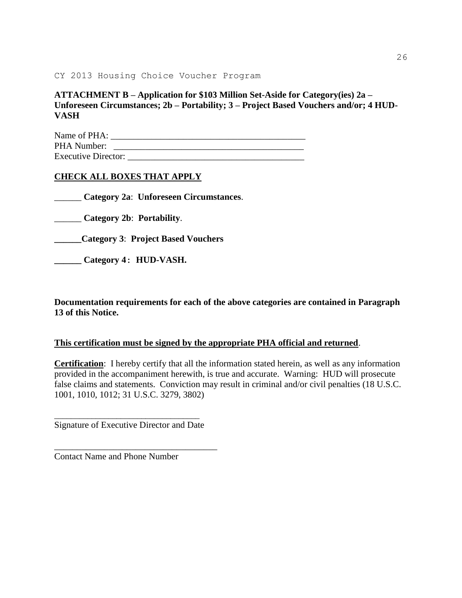CY 2013 Housing Choice Voucher Program

**ATTACHMENT B – Application for \$103 Million Set-Aside for Category(ies) 2a – Unforeseen Circumstances; 2b – Portability; 3 – Project Based Vouchers and/or; 4 HUD-VASH**

Name of PHA: \_\_\_\_\_\_\_\_\_\_\_\_\_\_\_\_\_\_\_\_\_\_\_\_\_\_\_\_\_\_\_\_\_\_\_\_\_\_\_\_\_\_\_ PHA Number: \_\_\_\_\_\_\_\_\_\_\_\_\_\_\_\_\_\_\_\_\_\_\_\_\_\_\_\_\_\_\_\_\_\_\_\_\_\_\_\_\_\_ Executive Director: \_\_\_\_\_\_\_\_\_\_\_\_\_\_\_\_\_\_\_\_\_\_\_\_\_\_\_\_\_\_\_\_\_\_\_\_\_\_\_

### **CHECK ALL BOXES THAT APPLY**

\_\_\_\_\_\_ **Category 2a**: **Unforeseen Circumstances**.

\_\_\_\_\_\_ **Category 2b**: **Portability**.

**\_\_\_\_\_\_Category 3**: **Project Based Vouchers**

**\_\_\_\_\_\_ Category 4: HUD-VASH.**

**Documentation requirements for each of the above categories are contained in Paragraph 13 of this Notice.** 

#### **This certification must be signed by the appropriate PHA official and returned**.

**Certification**: I hereby certify that all the information stated herein, as well as any information provided in the accompaniment herewith, is true and accurate. Warning: HUD will prosecute false claims and statements. Conviction may result in criminal and/or civil penalties (18 U.S.C. 1001, 1010, 1012; 31 U.S.C. 3279, 3802)

\_\_\_\_\_\_\_\_\_\_\_\_\_\_\_\_\_\_\_\_\_\_\_\_\_\_\_\_\_\_\_\_\_\_\_ Signature of Executive Director and Date

\_\_\_\_\_\_\_\_\_\_\_\_\_\_\_\_\_\_\_\_\_\_\_\_\_\_\_\_\_\_\_\_\_\_\_\_

Contact Name and Phone Number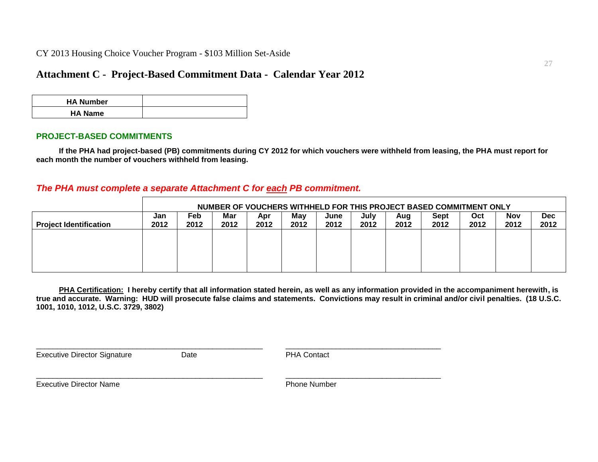CY 2013 Housing Choice Voucher Program - \$103 Million Set-Aside

# **Attachment C - Project-Based Commitment Data - Calendar Year 2012**

| <b>HA Number</b> |  |
|------------------|--|
| <b>HA Name</b>   |  |

#### **PROJECT-BASED COMMITMENTS**

**If the PHA had project-based (PB) commitments during CY 2012 for which vouchers were withheld from leasing, the PHA must report for each month the number of vouchers withheld from leasing.**

### *The PHA must complete a separate Attachment C for each PB commitment.*

|                               | NUMBER OF VOUCHERS WITHHELD FOR THIS PROJECT BASED COMMITMENT ONLY |             |             |             |             |              |              |             |              |             |                    |                    |
|-------------------------------|--------------------------------------------------------------------|-------------|-------------|-------------|-------------|--------------|--------------|-------------|--------------|-------------|--------------------|--------------------|
| <b>Project Identification</b> | Jan<br>2012                                                        | Feb<br>2012 | Mar<br>2012 | Apr<br>2012 | Mav<br>2012 | June<br>2012 | July<br>2012 | Aug<br>2012 | Sept<br>2012 | Oct<br>2012 | <b>Nov</b><br>2012 | <b>Dec</b><br>2012 |
|                               |                                                                    |             |             |             |             |              |              |             |              |             |                    |                    |
|                               |                                                                    |             |             |             |             |              |              |             |              |             |                    |                    |
|                               |                                                                    |             |             |             |             |              |              |             |              |             |                    |                    |

**PHA Certification: I hereby certify that all information stated herein, as well as any information provided in the accompaniment herewith, is true and accurate. Warning: HUD will prosecute false claims and statements. Convictions may result in criminal and/or civil penalties. (18 U.S.C. 1001, 1010, 1012, U.S.C. 3729, 3802)**

Executive Director Signature Date Date **Date** PHA Contact

\_\_\_\_\_\_\_\_\_\_\_\_\_\_\_\_\_\_\_\_\_\_\_\_\_\_\_\_\_\_\_\_\_\_\_\_\_\_\_\_\_\_\_\_\_\_\_\_\_\_\_\_\_\_ \_\_\_\_\_\_\_\_\_\_\_\_\_\_\_\_\_\_\_\_\_\_\_\_\_\_\_\_\_\_\_\_\_\_\_\_\_

 $\Box$ 

Executive Director Name **Phone Number** Phone Number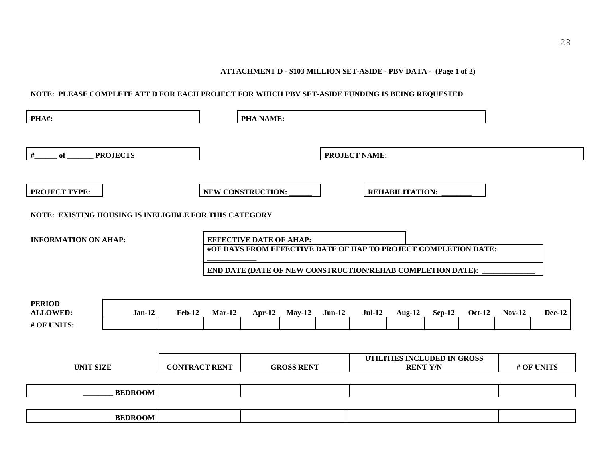**ATTACHMENT D - \$103 MILLION SET-ASIDE - PBV DATA - (Page 1 of 2)**

#### **NOTE: PLEASE COMPLETE ATT D FOR EACH PROJECT FOR WHICH PBV SET-ASIDE FUNDING IS BEING REQUESTED**

| PHA#:                                                  |                 |                      |          | <b>PHA NAME:</b>               |                   |          |                                                                                                                               |                                                |               |               |               |               |
|--------------------------------------------------------|-----------------|----------------------|----------|--------------------------------|-------------------|----------|-------------------------------------------------------------------------------------------------------------------------------|------------------------------------------------|---------------|---------------|---------------|---------------|
| $\#$<br>of                                             | <b>PROJECTS</b> |                      |          |                                |                   |          | <b>PROJECT NAME:</b>                                                                                                          |                                                |               |               |               |               |
| <b>PROJECT TYPE:</b>                                   |                 |                      |          | NEW CONSTRUCTION:              |                   |          |                                                                                                                               | <b>REHABILITATION:</b>                         |               |               |               |               |
| NOTE: EXISTING HOUSING IS INELIGIBLE FOR THIS CATEGORY |                 |                      |          |                                |                   |          |                                                                                                                               |                                                |               |               |               |               |
| <b>INFORMATION ON AHAP:</b>                            |                 |                      |          | <b>EFFECTIVE DATE OF AHAP:</b> |                   |          | #OF DAYS FROM EFFECTIVE DATE OF HAP TO PROJECT COMPLETION DATE:<br>END DATE (DATE OF NEW CONSTRUCTION/REHAB COMPLETION DATE): |                                                |               |               |               |               |
| <b>PERIOD</b><br><b>ALLOWED:</b><br># OF UNITS:        | $Jan-12$        | <b>Feb-12</b>        | $Mar-12$ | $Apr-12$                       | $May-12$          | $Jun-12$ | $Jul-12$                                                                                                                      | Aug- $12$                                      | <b>Sep-12</b> | <b>Oct-12</b> | <b>Nov-12</b> | <b>Dec-12</b> |
| <b>UNIT SIZE</b>                                       |                 | <b>CONTRACT RENT</b> |          |                                | <b>GROSS RENT</b> |          |                                                                                                                               | UTILITIES INCLUDED IN GROSS<br><b>RENT Y/N</b> |               |               |               | # OF UNITS    |
|                                                        | <b>BEDROOM</b>  |                      |          |                                |                   |          |                                                                                                                               |                                                |               |               |               |               |
|                                                        | <b>BEDROOM</b>  |                      |          |                                |                   |          |                                                                                                                               |                                                |               |               |               |               |